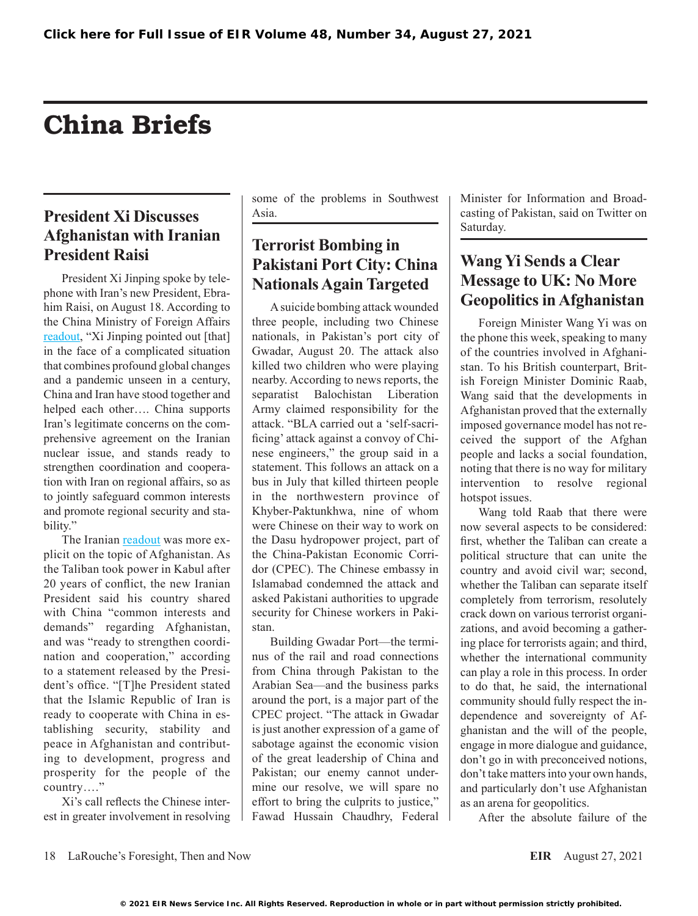# China Briefs

# **President Xi Discusses Afghanistan with Iranian President Raisi**

President Xi Jinping spoke by telephone with Iran's new President, Ebrahim Raisi, on August 18. According to the China Ministry of Foreign Affairs [readout,](https://www.fmprc.gov.cn/mfa_eng/zxxx_662805/t1900525.shtml) "Xi Jinping pointed out [that] in the face of a complicated situation that combines profound global changes and a pandemic unseen in a century, China and Iran have stood together and helped each other…. China supports Iran's legitimate concerns on the comprehensive agreement on the Iranian nuclear issue, and stands ready to strengthen coordination and cooperation with Iran on regional affairs, so as to jointly safeguard common interests and promote regional security and stability."

The Iranian [readout](https://www.president.ir/en/130635) was more explicit on the topic of Afghanistan. As the Taliban took power in Kabul after 20 years of conflict, the new Iranian President said his country shared with China "common interests and demands" regarding Afghanistan, and was "ready to strengthen coordination and cooperation," according to a statement released by the President's office. "[T]he President stated that the Islamic Republic of Iran is ready to cooperate with China in establishing security, stability and peace in Afghanistan and contributing to development, progress and prosperity for the people of the country…."

Xi's call reflects the Chinese interest in greater involvement in resolving some of the problems in Southwest Asia.

#### **Terrorist Bombing in Pakistani Port City: China Nationals Again Targeted**

A suicide bombing attack wounded three people, including two Chinese nationals, in Pakistan's port city of Gwadar, August 20. The attack also killed two children who were playing nearby. According to news reports, the separatist Balochistan Liberation Army claimed responsibility for the attack. "BLA carried out a 'self-sacrificing' attack against a convoy of Chinese engineers," the group said in a statement. This follows an attack on a bus in July that killed thirteen people in the northwestern province of Khyber-Paktunkhwa, nine of whom were Chinese on their way to work on the Dasu hydropower project, part of the China-Pakistan Economic Corridor (CPEC). The Chinese embassy in Islamabad condemned the attack and asked Pakistani authorities to upgrade security for Chinese workers in Pakistan.

Building Gwadar Port—the terminus of the rail and road connections from China through Pakistan to the Arabian Sea—and the business parks around the port, is a major part of the CPEC project. "The attack in Gwadar is just another expression of a game of sabotage against the economic vision of the great leadership of China and Pakistan; our enemy cannot undermine our resolve, we will spare no effort to bring the culprits to justice," Fawad Hussain Chaudhry, Federal Minister for Information and Broadcasting of Pakistan, said on Twitter on Saturday.

#### **Wang Yi Sends a Clear Message to UK: No More Geopolitics in Afghanistan**

Foreign Minister Wang Yi was on the phone this week, speaking to many of the countries involved in Afghanistan. To his British counterpart, British Foreign Minister Dominic Raab, Wang said that the developments in Afghanistan proved that the externally imposed governance model has not received the support of the Afghan people and lacks a social foundation, noting that there is no way for military intervention to resolve regional hotspot issues.

Wang told Raab that there were now several aspects to be considered: first, whether the Taliban can create a political structure that can unite the country and avoid civil war; second, whether the Taliban can separate itself completely from terrorism, resolutely crack down on various terrorist organizations, and avoid becoming a gathering place for terrorists again; and third, whether the international community can play a role in this process. In order to do that, he said, the international community should fully respect the independence and sovereignty of Afghanistan and the will of the people, engage in more dialogue and guidance, don't go in with preconceived notions, don't take matters into your own hands, and particularly don't use Afghanistan as an arena for geopolitics.

After the absolute failure of the